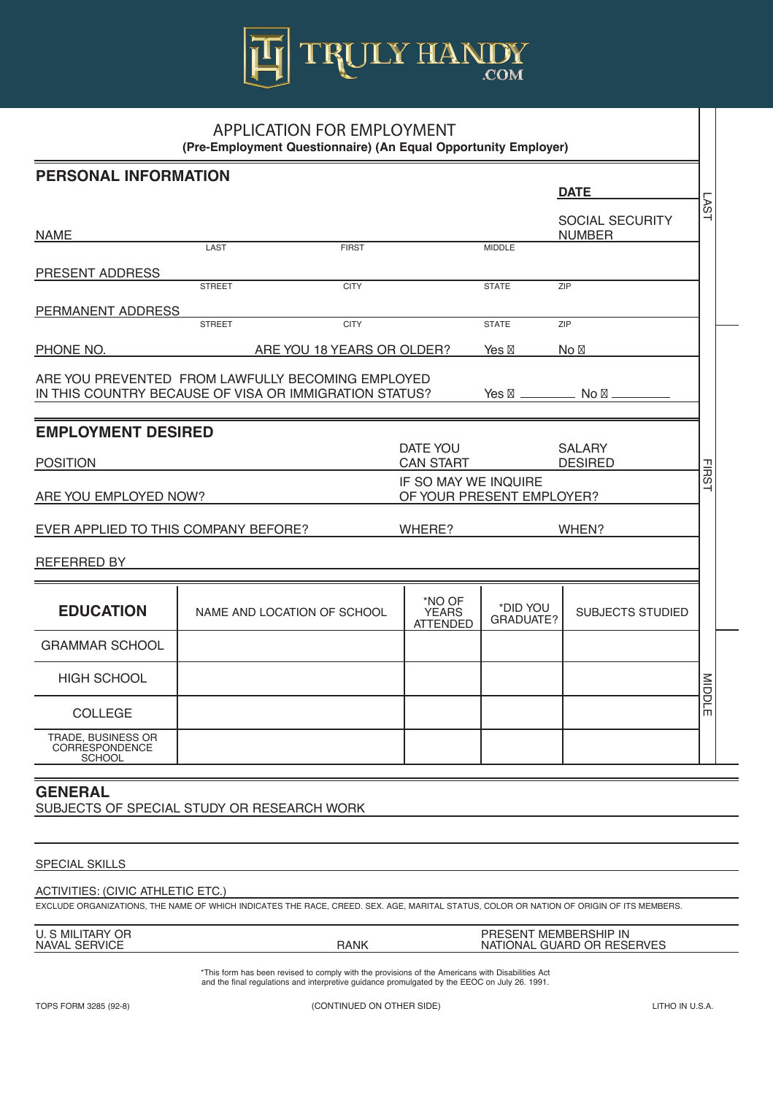

| <b>PERSONAL INFORMATION</b>                                                                                                     |                              |  |                                           |                              |                                         |               |
|---------------------------------------------------------------------------------------------------------------------------------|------------------------------|--|-------------------------------------------|------------------------------|-----------------------------------------|---------------|
|                                                                                                                                 |                              |  |                                           |                              | <b>DATE</b>                             |               |
| <b>NAME</b>                                                                                                                     |                              |  |                                           |                              | <b>SOCIAL SECURITY</b><br><b>NUMBER</b> | <b>AST</b>    |
|                                                                                                                                 | <b>LAST</b><br><b>FIRST</b>  |  |                                           | <b>MIDDLE</b>                |                                         |               |
| PRESENT ADDRESS                                                                                                                 |                              |  |                                           |                              |                                         |               |
|                                                                                                                                 | <b>CITY</b><br><b>STREET</b> |  |                                           | <b>STATE</b>                 | ZIP                                     |               |
| <b>PERMANENT ADDRESS</b>                                                                                                        |                              |  |                                           |                              |                                         |               |
|                                                                                                                                 | <b>CITY</b><br><b>STREET</b> |  |                                           | <b>STATE</b>                 | <b>ZIP</b>                              |               |
| PHONE NO.                                                                                                                       | ARE YOU 18 YEARS OR OLDER?   |  |                                           | Yes                          | <b>No</b>                               |               |
| ARE YOU PREVENTED FROM LAWFULLY BECOMING EMPLOYED<br>IN THIS COUNTRY BECAUSE OF VISA OR IMMIGRATION STATUS?<br>Yes<br><b>No</b> |                              |  |                                           |                              |                                         |               |
| <b>EMPLOYMENT DESIRED</b>                                                                                                       |                              |  |                                           |                              |                                         |               |
| <b>POSITION</b>                                                                                                                 |                              |  | <b>DATE YOU</b><br><b>CAN START</b>       |                              | <b>SALARY</b><br><b>DESIRED</b>         |               |
| IF SO MAY WE INQUIRE<br>ARE YOU EMPLOYED NOW?<br>OF YOUR PRESENT EMPLOYER?                                                      |                              |  |                                           | <b>FIRST</b>                 |                                         |               |
| EVER APPLIED TO THIS COMPANY BEFORE?                                                                                            |                              |  | WHERE?<br>WHEN?                           |                              |                                         |               |
| <b>REFERRED BY</b>                                                                                                              |                              |  |                                           |                              |                                         |               |
| <b>EDUCATION</b>                                                                                                                | NAME AND LOCATION OF SCHOOL  |  | *NO OF<br><b>YEARS</b><br><b>ATTENDED</b> | *DID YOU<br><b>GRADUATE?</b> | <b>SUBJECTS STUDIED</b>                 |               |
| <b>GRAMMAR SCHOOL</b>                                                                                                           |                              |  |                                           |                              |                                         |               |
| <b>HIGH SCHOOL</b>                                                                                                              |                              |  |                                           |                              |                                         |               |
| <b>COLLEGE</b>                                                                                                                  |                              |  |                                           |                              |                                         | <b>MIDDLE</b> |
| <b>TRADE, BUSINESS OR</b><br><b>CORRESPONDENCE</b><br><b>SCHOOL</b>                                                             |                              |  |                                           |                              |                                         |               |

**(Pre-Employment Questionnaire) (An Equal Opportunity Employer)**

## **GENERAL** SUBJECTS OF SPECIAL STUDY OR RESEARCH WORK

### SPECIAL SKILLS

## ACTIVITIES: (CIVIC ATHLETIC ETC.)

EXCLUDE ORGANIZATIONS, THE NAME OF WHICH INDICATES THE RACE, CREED. SEX. AGE, MARITAL STATUS, COLOR OR NATION OF ORIGIN OF ITS MEMBERS.

| OR<br>ר MIL.<br>. JARY<br>U.   |             | <b>MEMBERSHIP IN</b><br>PRESENT                        |
|--------------------------------|-------------|--------------------------------------------------------|
| <b>SERVICE</b><br><b>NAVAL</b> | <b>RANK</b> | <b>RESERVES</b><br>OR.<br><b>GUARD</b><br>NAT<br>IONAI |

\*This form has been revised to comply with the provisions of the Americans with Disabilities Act and the final regulations and interpretive guidance promulgated by the EEOC on July 26. 1991.

TOPS FORM 3285 (92-8) (CONTINUED ON OTHER SIDE) LITHO IN U.S.A.